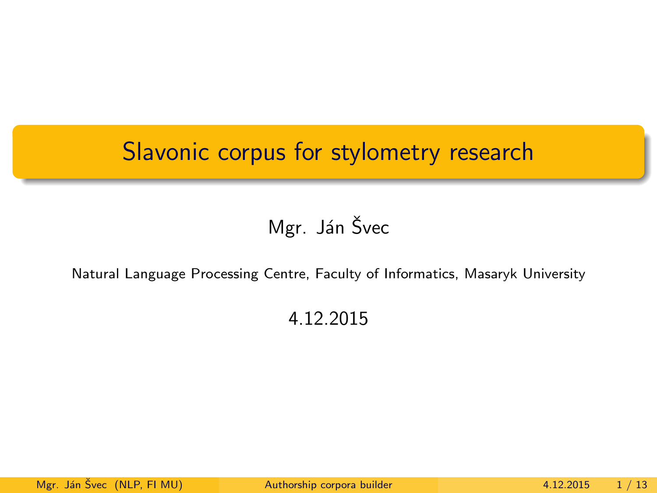#### <span id="page-0-0"></span>Slavonic corpus for stylometry research

#### Mgr. Ján Švec

#### Natural Language Processing Centre, Faculty of Informatics, Masaryk University

#### 4.12.2015

Mgr. Ján Švec (NLP, FI MU) <sup>[Authorship corpora builder](#page-12-0) 4.12.2015 1/13</sup>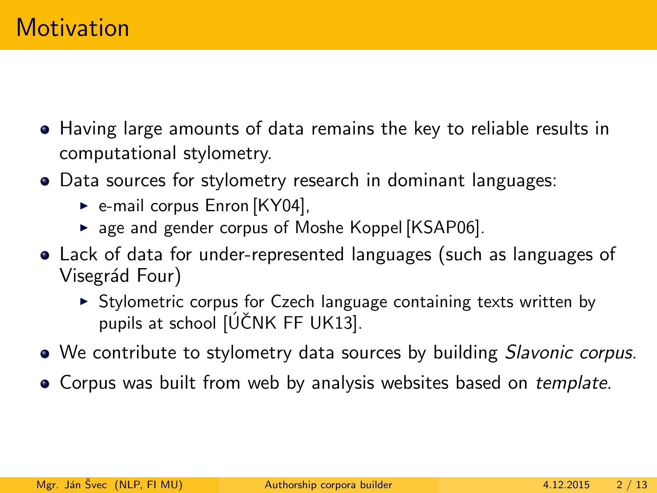- Having large amounts of data remains the key to reliable results in computational stylometry.
- Data sources for stylometry research in dominant languages:
	- $\triangleright$  e-mail corpus Enron [\[KY04\]](#page-12-1),
	- $\triangleright$  age and gender corpus of Moshe Koppel [\[KSAP06\]](#page-12-2).
- Lack of data for under-represented languages (such as languages of Visegrád Four)
	- $\triangleright$  Stylometric corpus for Czech language containing texts written by pupils at school  $[\hat{U}$ CNK FF UK13].
- We contribute to stylometry data sources by building *Slavonic corpus*.
- Corpus was built from web by analysis websites based on *template*.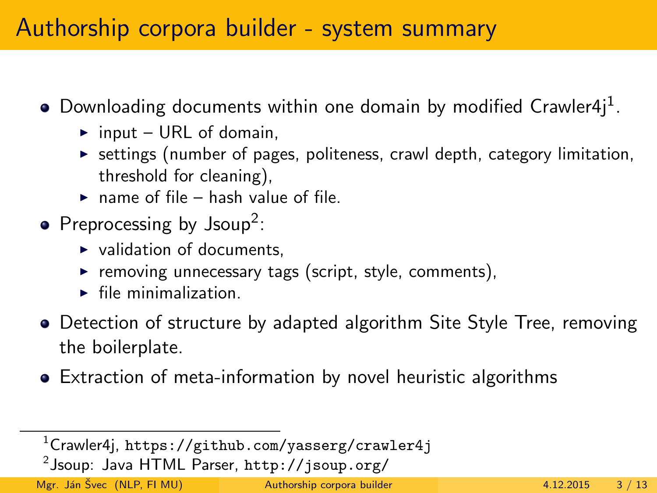#### Authorship corpora builder - system summary

- Downloading documents within one domain by modified Crawler4j $^1$ .
	- $\triangleright$  input URL of domain,
	- $\triangleright$  settings (number of pages, politeness, crawl depth, category limitation, threshold for cleaning),
	- $\triangleright$  name of file hash value of file.
- Preprocessing by  $\text{Isoup}^2$ :
	- $\triangleright$  validation of documents.
	- $\triangleright$  removing unnecessary tags (script, style, comments),
	- $\blacktriangleright$  file minimalization.
- Detection of structure by adapted algorithm Site Style Tree, removing the boilerplate.
- Extraction of meta-information by novel heuristic algorithms

 $^2$ Jsoup: Java HTML Parser, <code><http://jsoup.org/></code>

Mgr. Ján Švec (NLP, FLMU) <sup>2</sup> [Authorship corpora builder](#page-0-0) 4.12.2015 3 / 13

<sup>1</sup>Crawler4j, <https://github.com/yasserg/crawler4j>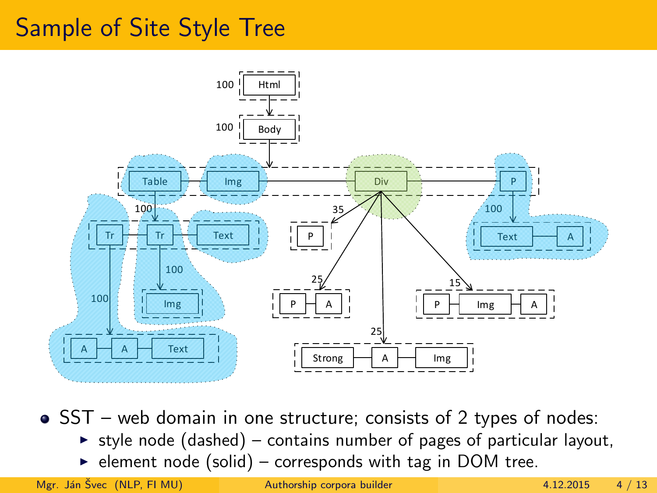### Sample of Site Style Tree



• SST – web domain in one structure; consists of 2 types of nodes:

- $\triangleright$  style node (dashed) contains number of pages of particular layout,
- $\triangleright$  element node (solid) corresponds with tag in DOM tree.

Mgr. Ján Švec (NLP, FI MU) <sup>[Authorship corpora builder](#page-0-0) 4.12.2015 4/13</sup>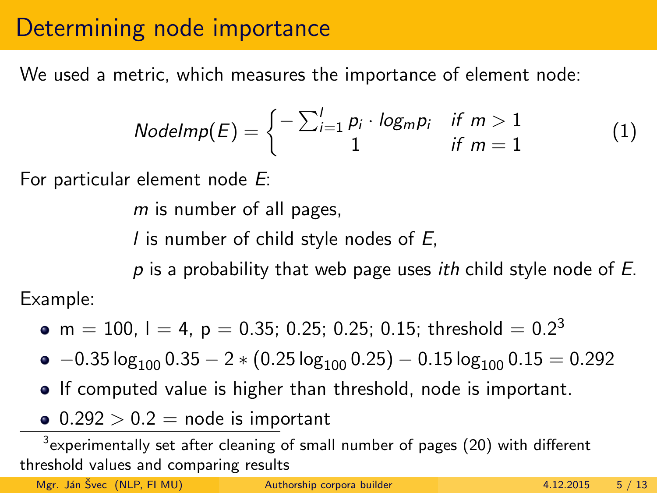#### Determining node importance

We used a metric, which measures the importance of element node:

$$
NodeImp(E) = \begin{cases} -\sum_{i=1}^{l} p_i \cdot log_m p_i & \text{if } m > 1 \\ 1 & \text{if } m = 1 \end{cases}
$$
 (1)

For particular element node E:

m is number of all pages,

I is number of child style nodes of  $E$ ,

 $p$  is a probability that web page uses *ith* child style node of  $E$ .

• m  $= 100$ , l  $= 4$ , p  $= 0.35$ ; 0.25; 0.25; 0.15; threshold  $= 0.2<sup>3</sup>$ 

 $\bullet$  −0.35 log<sub>100</sub> 0.35 − 2  $\ast$  (0.25 log<sub>100</sub> 0.25) − 0.15 log<sub>100</sub> 0.15 = 0.292

- If computed value is higher than threshold, node is important.
- $\bullet$  0.292  $> 0.2$  = node is important

 $^3$ experimentally set after cleaning of small number of pages (20) with different threshold values and comparing results

Mgr. Ján Švec (NLP, FI MU) <sup>[Authorship corpora builder](#page-0-0) 4.12.2015 5 / 13</sup>

Example: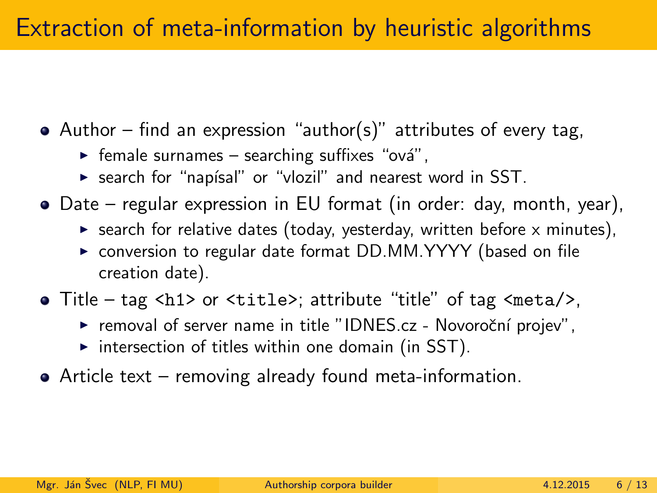#### Extraction of meta-information by heuristic algorithms

- Author find an expression "author(s)" attributes of every tag,
	- $\triangleright$  female surnames searching suffixes "ová",
	- $\triangleright$  search for "napísal" or "vlozil" and nearest word in SST.
- Date regular expression in EU format (in order: day, month, year),
	- $\triangleright$  search for relative dates (today, yesterday, written before x minutes),
	- ▶ conversion to regular date format DD.MM.YYYY (based on file creation date).
- Title tag <h1> or <title>; attribute "title" of tag <meta/>,
	- $\triangleright$  removal of server name in title "IDNES.cz Novoroční projev",
	- $\triangleright$  intersection of titles within one domain (in SST).
- Article text removing already found meta-information.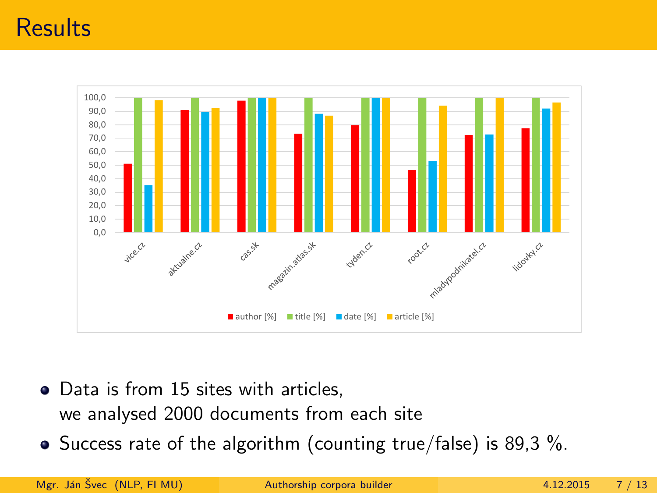#### **Results**



- Data is from 15 sites with articles, we analysed 2000 documents from each site
- Success rate of the algorithm (counting true/false) is 89,3 %.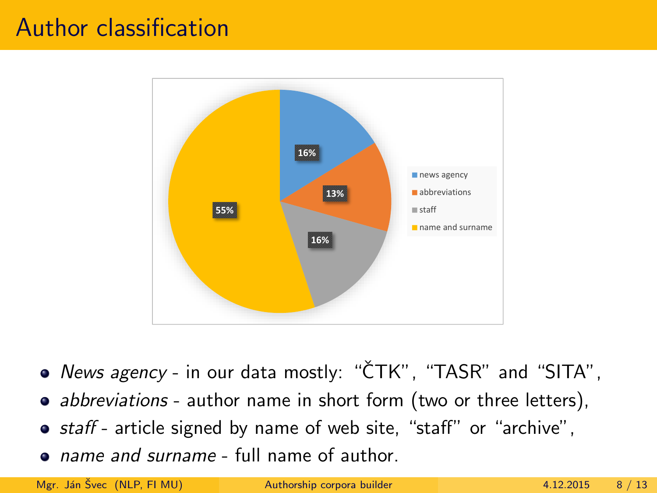#### Author classification



- News agency in our data mostly: "CTK", "TASR" and "SITA",
- abbreviations author name in short form (two or three letters),
- **•** staff article signed by name of web site, "staff" or "archive",
- name and surname full name of author.

Mgr. Ján Švec (NLP, FLMU) <sup>2</sup> [Authorship corpora builder](#page-0-0) 4.12.2015 8 / 13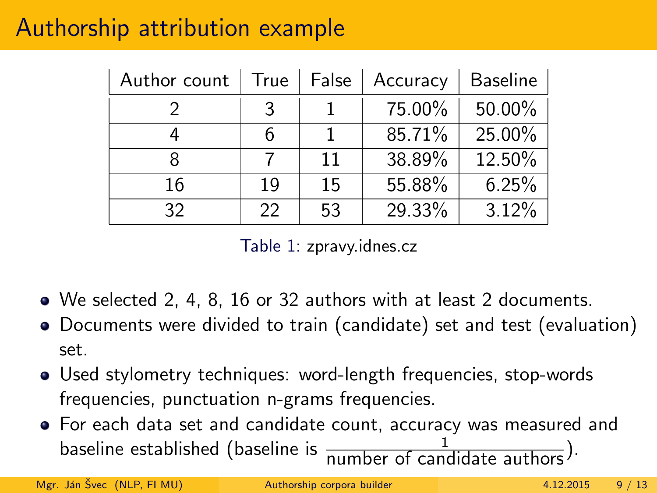## Authorship attribution example

| Author count | True | False | Accuracy | <b>Baseline</b> |
|--------------|------|-------|----------|-----------------|
|              |      |       | 75.00%   | $50.00\%$       |
|              | 6    |       | 85.71%   | 25.00%          |
|              |      | 11    | 38.89%   | 12.50%          |
| 16           | 19   | 15    | 55.88%   | 6.25%           |
| 32           | 22   | 53    | 29.33%   | 3.12%           |

Table 1: zpravy.idnes.cz

- We selected 2, 4, 8, 16 or 32 authors with at least 2 documents.
- Documents were divided to train (candidate) set and test (evaluation) set.
- Used stylometry techniques: word-length frequencies, stop-words frequencies, punctuation n-grams frequencies.
- For each data set and candidate count, accuracy was measured and baseline established (baseline is  $\frac{1}{\text{number of candidate authors}}$ ).

Mgr. Ján Švec (NLP, FI MU) <sup>[Authorship corpora builder](#page-0-0) 4.12.2015 9 / 13</sup>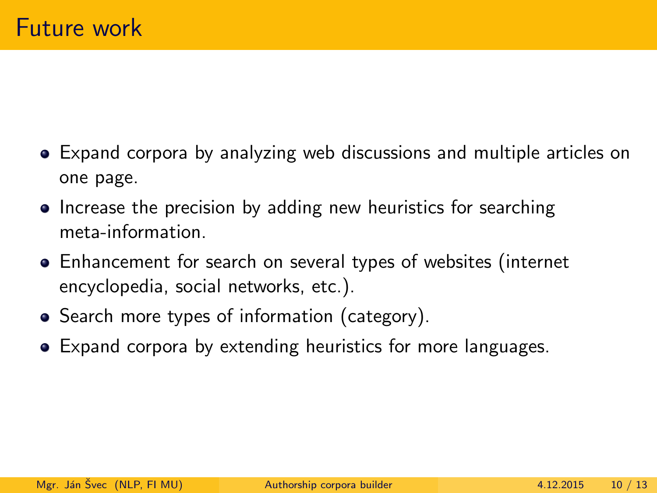- Expand corpora by analyzing web discussions and multiple articles on one page.
- Increase the precision by adding new heuristics for searching meta-information.
- Enhancement for search on several types of websites (internet encyclopedia, social networks, etc.).
- Search more types of information (category).
- Expand corpora by extending heuristics for more languages.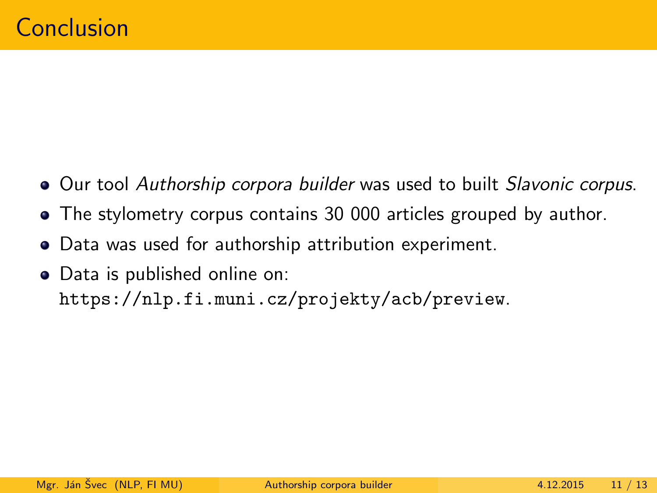- Our tool Authorship corpora builder was used to built Slavonic corpus.
- The stylometry corpus contains 30 000 articles grouped by author.
- Data was used for authorship attribution experiment.
- Data is published online on: <https://nlp.fi.muni.cz/projekty/acb/preview>.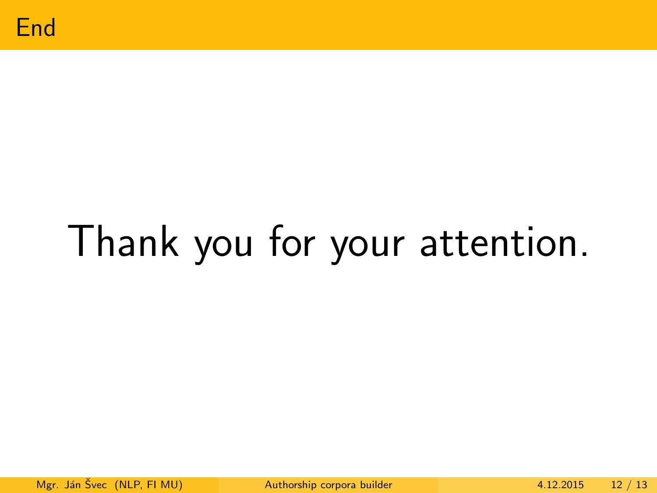

# Thank you for your attention.

Mgr. Ján Švec (NLP, FI MU) <sup>[Authorship corpora builder](#page-0-0) 4.12.2015 12 / 13</sup>